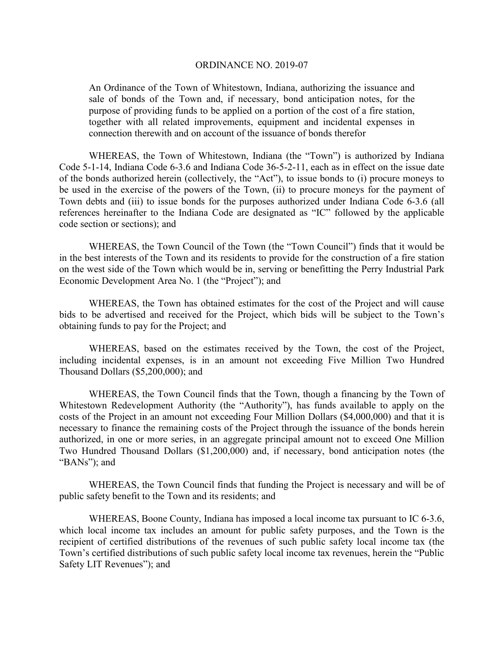#### ORDINANCE NO. 2019-07

An Ordinance of the Town of Whitestown, Indiana, authorizing the issuance and sale of bonds of the Town and, if necessary, bond anticipation notes, for the purpose of providing funds to be applied on a portion of the cost of a fire station, together with all related improvements, equipment and incidental expenses in connection therewith and on account of the issuance of bonds therefor

WHEREAS, the Town of Whitestown, Indiana (the "Town") is authorized by Indiana Code 5-1-14, Indiana Code 6-3.6 and Indiana Code 36-5-2-11, each as in effect on the issue date of the bonds authorized herein (collectively, the "Act"), to issue bonds to (i) procure moneys to be used in the exercise of the powers of the Town, (ii) to procure moneys for the payment of Town debts and (iii) to issue bonds for the purposes authorized under Indiana Code 6-3.6 (all references hereinafter to the Indiana Code are designated as "IC" followed by the applicable code section or sections); and

WHEREAS, the Town Council of the Town (the "Town Council") finds that it would be in the best interests of the Town and its residents to provide for the construction of a fire station on the west side of the Town which would be in, serving or benefitting the Perry Industrial Park Economic Development Area No. 1 (the "Project"); and

WHEREAS, the Town has obtained estimates for the cost of the Project and will cause bids to be advertised and received for the Project, which bids will be subject to the Town's obtaining funds to pay for the Project; and

WHEREAS, based on the estimates received by the Town, the cost of the Project, including incidental expenses, is in an amount not exceeding Five Million Two Hundred Thousand Dollars (\$5,200,000); and

WHEREAS, the Town Council finds that the Town, though a financing by the Town of Whitestown Redevelopment Authority (the "Authority"), has funds available to apply on the costs of the Project in an amount not exceeding Four Million Dollars (\$4,000,000) and that it is necessary to finance the remaining costs of the Project through the issuance of the bonds herein authorized, in one or more series, in an aggregate principal amount not to exceed One Million Two Hundred Thousand Dollars (\$1,200,000) and, if necessary, bond anticipation notes (the "BANs"); and

WHEREAS, the Town Council finds that funding the Project is necessary and will be of public safety benefit to the Town and its residents; and

WHEREAS, Boone County, Indiana has imposed a local income tax pursuant to IC 6-3.6, which local income tax includes an amount for public safety purposes, and the Town is the recipient of certified distributions of the revenues of such public safety local income tax (the Town's certified distributions of such public safety local income tax revenues, herein the "Public Safety LIT Revenues"); and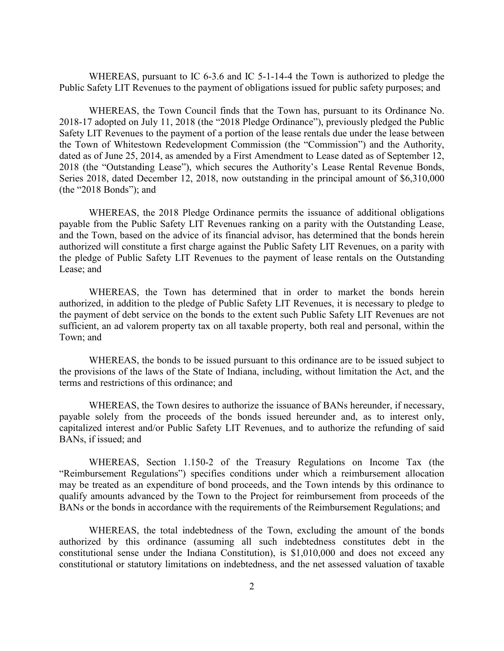WHEREAS, pursuant to IC 6-3.6 and IC 5-1-14-4 the Town is authorized to pledge the Public Safety LIT Revenues to the payment of obligations issued for public safety purposes; and

WHEREAS, the Town Council finds that the Town has, pursuant to its Ordinance No. 2018-17 adopted on July 11, 2018 (the "2018 Pledge Ordinance"), previously pledged the Public Safety LIT Revenues to the payment of a portion of the lease rentals due under the lease between the Town of Whitestown Redevelopment Commission (the "Commission") and the Authority, dated as of June 25, 2014, as amended by a First Amendment to Lease dated as of September 12, 2018 (the "Outstanding Lease"), which secures the Authority's Lease Rental Revenue Bonds, Series 2018, dated December 12, 2018, now outstanding in the principal amount of \$6,310,000 (the "2018 Bonds"); and

WHEREAS, the 2018 Pledge Ordinance permits the issuance of additional obligations payable from the Public Safety LIT Revenues ranking on a parity with the Outstanding Lease, and the Town, based on the advice of its financial advisor, has determined that the bonds herein authorized will constitute a first charge against the Public Safety LIT Revenues, on a parity with the pledge of Public Safety LIT Revenues to the payment of lease rentals on the Outstanding Lease; and

WHEREAS, the Town has determined that in order to market the bonds herein authorized, in addition to the pledge of Public Safety LIT Revenues, it is necessary to pledge to the payment of debt service on the bonds to the extent such Public Safety LIT Revenues are not sufficient, an ad valorem property tax on all taxable property, both real and personal, within the Town; and

WHEREAS, the bonds to be issued pursuant to this ordinance are to be issued subject to the provisions of the laws of the State of Indiana, including, without limitation the Act, and the terms and restrictions of this ordinance; and

WHEREAS, the Town desires to authorize the issuance of BANs hereunder, if necessary, payable solely from the proceeds of the bonds issued hereunder and, as to interest only, capitalized interest and/or Public Safety LIT Revenues, and to authorize the refunding of said BANs, if issued; and

WHEREAS, Section 1.150-2 of the Treasury Regulations on Income Tax (the "Reimbursement Regulations") specifies conditions under which a reimbursement allocation may be treated as an expenditure of bond proceeds, and the Town intends by this ordinance to qualify amounts advanced by the Town to the Project for reimbursement from proceeds of the BANs or the bonds in accordance with the requirements of the Reimbursement Regulations; and

WHEREAS, the total indebtedness of the Town, excluding the amount of the bonds authorized by this ordinance (assuming all such indebtedness constitutes debt in the constitutional sense under the Indiana Constitution), is \$1,010,000 and does not exceed any constitutional or statutory limitations on indebtedness, and the net assessed valuation of taxable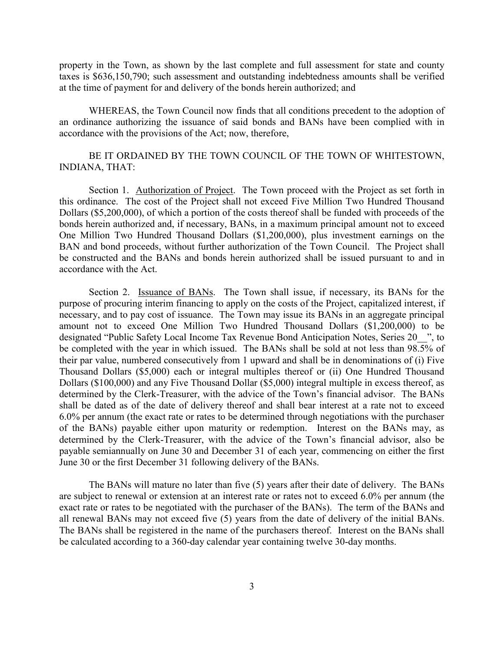property in the Town, as shown by the last complete and full assessment for state and county taxes is \$636,150,790; such assessment and outstanding indebtedness amounts shall be verified at the time of payment for and delivery of the bonds herein authorized; and

WHEREAS, the Town Council now finds that all conditions precedent to the adoption of an ordinance authorizing the issuance of said bonds and BANs have been complied with in accordance with the provisions of the Act; now, therefore,

# BE IT ORDAINED BY THE TOWN COUNCIL OF THE TOWN OF WHITESTOWN, INDIANA, THAT:

Section 1. Authorization of Project. The Town proceed with the Project as set forth in this ordinance. The cost of the Project shall not exceed Five Million Two Hundred Thousand Dollars (\$5,200,000), of which a portion of the costs thereof shall be funded with proceeds of the bonds herein authorized and, if necessary, BANs, in a maximum principal amount not to exceed One Million Two Hundred Thousand Dollars (\$1,200,000), plus investment earnings on the BAN and bond proceeds, without further authorization of the Town Council. The Project shall be constructed and the BANs and bonds herein authorized shall be issued pursuant to and in accordance with the Act.

Section 2. Issuance of BANs. The Town shall issue, if necessary, its BANs for the purpose of procuring interim financing to apply on the costs of the Project, capitalized interest, if necessary, and to pay cost of issuance. The Town may issue its BANs in an aggregate principal amount not to exceed One Million Two Hundred Thousand Dollars (\$1,200,000) to be designated "Public Safety Local Income Tax Revenue Bond Anticipation Notes, Series 20\_\_", to be completed with the year in which issued. The BANs shall be sold at not less than 98.5% of their par value, numbered consecutively from 1 upward and shall be in denominations of (i) Five Thousand Dollars (\$5,000) each or integral multiples thereof or (ii) One Hundred Thousand Dollars (\$100,000) and any Five Thousand Dollar (\$5,000) integral multiple in excess thereof, as determined by the Clerk-Treasurer, with the advice of the Town's financial advisor. The BANs shall be dated as of the date of delivery thereof and shall bear interest at a rate not to exceed 6.0% per annum (the exact rate or rates to be determined through negotiations with the purchaser of the BANs) payable either upon maturity or redemption. Interest on the BANs may, as determined by the Clerk-Treasurer, with the advice of the Town's financial advisor, also be payable semiannually on June 30 and December 31 of each year, commencing on either the first June 30 or the first December 31 following delivery of the BANs.

The BANs will mature no later than five (5) years after their date of delivery. The BANs are subject to renewal or extension at an interest rate or rates not to exceed 6.0% per annum (the exact rate or rates to be negotiated with the purchaser of the BANs). The term of the BANs and all renewal BANs may not exceed five (5) years from the date of delivery of the initial BANs. The BANs shall be registered in the name of the purchasers thereof. Interest on the BANs shall be calculated according to a 360-day calendar year containing twelve 30-day months.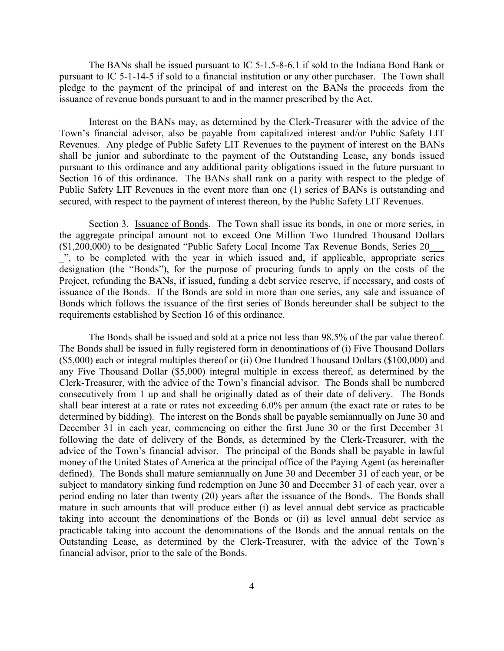The BANs shall be issued pursuant to IC 5-1.5-8-6.1 if sold to the Indiana Bond Bank or pursuant to IC 5-1-14-5 if sold to a financial institution or any other purchaser. The Town shall pledge to the payment of the principal of and interest on the BANs the proceeds from the issuance of revenue bonds pursuant to and in the manner prescribed by the Act.

Interest on the BANs may, as determined by the Clerk-Treasurer with the advice of the Town's financial advisor, also be payable from capitalized interest and/or Public Safety LIT Revenues. Any pledge of Public Safety LIT Revenues to the payment of interest on the BANs shall be junior and subordinate to the payment of the Outstanding Lease, any bonds issued pursuant to this ordinance and any additional parity obligations issued in the future pursuant to Section 16 of this ordinance. The BANs shall rank on a parity with respect to the pledge of Public Safety LIT Revenues in the event more than one (1) series of BANs is outstanding and secured, with respect to the payment of interest thereon, by the Public Safety LIT Revenues.

Section 3. Issuance of Bonds. The Town shall issue its bonds, in one or more series, in the aggregate principal amount not to exceed One Million Two Hundred Thousand Dollars (\$1,200,000) to be designated "Public Safety Local Income Tax Revenue Bonds, Series 20\_\_\_ ", to be completed with the year in which issued and, if applicable, appropriate series designation (the "Bonds"), for the purpose of procuring funds to apply on the costs of the Project, refunding the BANs, if issued, funding a debt service reserve, if necessary, and costs of issuance of the Bonds. If the Bonds are sold in more than one series, any sale and issuance of Bonds which follows the issuance of the first series of Bonds hereunder shall be subject to the requirements established by Section 16 of this ordinance.

The Bonds shall be issued and sold at a price not less than 98.5% of the par value thereof. The Bonds shall be issued in fully registered form in denominations of (i) Five Thousand Dollars (\$5,000) each or integral multiples thereof or (ii) One Hundred Thousand Dollars (\$100,000) and any Five Thousand Dollar (\$5,000) integral multiple in excess thereof, as determined by the Clerk-Treasurer, with the advice of the Town's financial advisor. The Bonds shall be numbered consecutively from 1 up and shall be originally dated as of their date of delivery. The Bonds shall bear interest at a rate or rates not exceeding 6.0% per annum (the exact rate or rates to be determined by bidding). The interest on the Bonds shall be payable semiannually on June 30 and December 31 in each year, commencing on either the first June 30 or the first December 31 following the date of delivery of the Bonds, as determined by the Clerk-Treasurer, with the advice of the Town's financial advisor. The principal of the Bonds shall be payable in lawful money of the United States of America at the principal office of the Paying Agent (as hereinafter defined). The Bonds shall mature semiannually on June 30 and December 31 of each year, or be subject to mandatory sinking fund redemption on June 30 and December 31 of each year, over a period ending no later than twenty (20) years after the issuance of the Bonds. The Bonds shall mature in such amounts that will produce either (i) as level annual debt service as practicable taking into account the denominations of the Bonds or (ii) as level annual debt service as practicable taking into account the denominations of the Bonds and the annual rentals on the Outstanding Lease, as determined by the Clerk-Treasurer, with the advice of the Town's financial advisor, prior to the sale of the Bonds.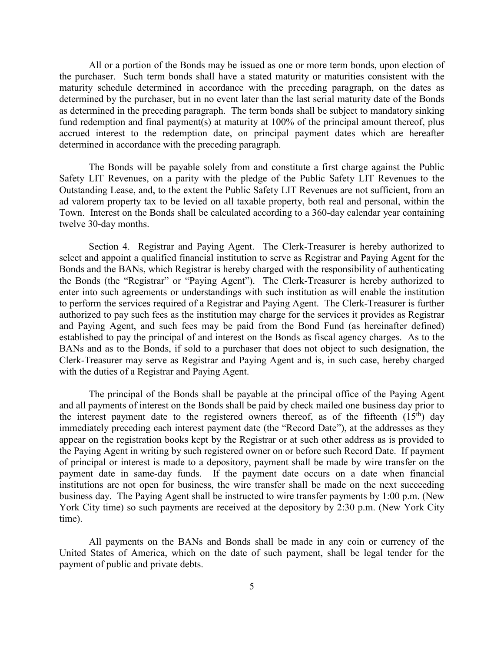All or a portion of the Bonds may be issued as one or more term bonds, upon election of the purchaser. Such term bonds shall have a stated maturity or maturities consistent with the maturity schedule determined in accordance with the preceding paragraph, on the dates as determined by the purchaser, but in no event later than the last serial maturity date of the Bonds as determined in the preceding paragraph. The term bonds shall be subject to mandatory sinking fund redemption and final payment(s) at maturity at 100% of the principal amount thereof, plus accrued interest to the redemption date, on principal payment dates which are hereafter determined in accordance with the preceding paragraph.

The Bonds will be payable solely from and constitute a first charge against the Public Safety LIT Revenues, on a parity with the pledge of the Public Safety LIT Revenues to the Outstanding Lease, and, to the extent the Public Safety LIT Revenues are not sufficient, from an ad valorem property tax to be levied on all taxable property, both real and personal, within the Town. Interest on the Bonds shall be calculated according to a 360-day calendar year containing twelve 30-day months.

Section 4. Registrar and Paying Agent. The Clerk-Treasurer is hereby authorized to select and appoint a qualified financial institution to serve as Registrar and Paying Agent for the Bonds and the BANs, which Registrar is hereby charged with the responsibility of authenticating the Bonds (the "Registrar" or "Paying Agent"). The Clerk-Treasurer is hereby authorized to enter into such agreements or understandings with such institution as will enable the institution to perform the services required of a Registrar and Paying Agent. The Clerk-Treasurer is further authorized to pay such fees as the institution may charge for the services it provides as Registrar and Paying Agent, and such fees may be paid from the Bond Fund (as hereinafter defined) established to pay the principal of and interest on the Bonds as fiscal agency charges. As to the BANs and as to the Bonds, if sold to a purchaser that does not object to such designation, the Clerk-Treasurer may serve as Registrar and Paying Agent and is, in such case, hereby charged with the duties of a Registrar and Paying Agent.

The principal of the Bonds shall be payable at the principal office of the Paying Agent and all payments of interest on the Bonds shall be paid by check mailed one business day prior to the interest payment date to the registered owners thereof, as of the fifteenth  $(15<sup>th</sup>)$  day immediately preceding each interest payment date (the "Record Date"), at the addresses as they appear on the registration books kept by the Registrar or at such other address as is provided to the Paying Agent in writing by such registered owner on or before such Record Date. If payment of principal or interest is made to a depository, payment shall be made by wire transfer on the payment date in same-day funds. If the payment date occurs on a date when financial institutions are not open for business, the wire transfer shall be made on the next succeeding business day. The Paying Agent shall be instructed to wire transfer payments by 1:00 p.m. (New York City time) so such payments are received at the depository by 2:30 p.m. (New York City time).

All payments on the BANs and Bonds shall be made in any coin or currency of the United States of America, which on the date of such payment, shall be legal tender for the payment of public and private debts.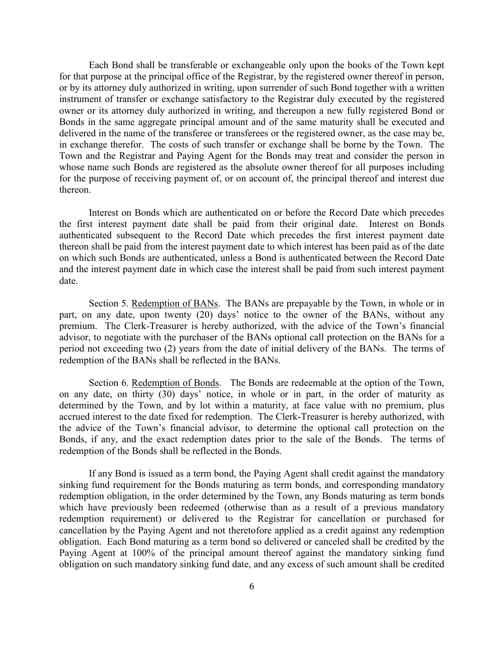Each Bond shall be transferable or exchangeable only upon the books of the Town kept for that purpose at the principal office of the Registrar, by the registered owner thereof in person, or by its attorney duly authorized in writing, upon surrender of such Bond together with a written instrument of transfer or exchange satisfactory to the Registrar duly executed by the registered owner or its attorney duly authorized in writing, and thereupon a new fully registered Bond or Bonds in the same aggregate principal amount and of the same maturity shall be executed and delivered in the name of the transferee or transferees or the registered owner, as the case may be, in exchange therefor. The costs of such transfer or exchange shall be borne by the Town. The Town and the Registrar and Paying Agent for the Bonds may treat and consider the person in whose name such Bonds are registered as the absolute owner thereof for all purposes including for the purpose of receiving payment of, or on account of, the principal thereof and interest due thereon.

Interest on Bonds which are authenticated on or before the Record Date which precedes the first interest payment date shall be paid from their original date. Interest on Bonds authenticated subsequent to the Record Date which precedes the first interest payment date thereon shall be paid from the interest payment date to which interest has been paid as of the date on which such Bonds are authenticated, unless a Bond is authenticated between the Record Date and the interest payment date in which case the interest shall be paid from such interest payment date.

Section 5. Redemption of BANs. The BANs are prepayable by the Town, in whole or in part, on any date, upon twenty (20) days' notice to the owner of the BANs, without any premium. The Clerk-Treasurer is hereby authorized, with the advice of the Town's financial advisor, to negotiate with the purchaser of the BANs optional call protection on the BANs for a period not exceeding two (2) years from the date of initial delivery of the BANs. The terms of redemption of the BANs shall be reflected in the BANs.

Section 6. Redemption of Bonds. The Bonds are redeemable at the option of the Town, on any date, on thirty (30) days' notice, in whole or in part, in the order of maturity as determined by the Town, and by lot within a maturity, at face value with no premium, plus accrued interest to the date fixed for redemption. The Clerk-Treasurer is hereby authorized, with the advice of the Town's financial advisor, to determine the optional call protection on the Bonds, if any, and the exact redemption dates prior to the sale of the Bonds. The terms of redemption of the Bonds shall be reflected in the Bonds.

If any Bond is issued as a term bond, the Paying Agent shall credit against the mandatory sinking fund requirement for the Bonds maturing as term bonds, and corresponding mandatory redemption obligation, in the order determined by the Town, any Bonds maturing as term bonds which have previously been redeemed (otherwise than as a result of a previous mandatory redemption requirement) or delivered to the Registrar for cancellation or purchased for cancellation by the Paying Agent and not theretofore applied as a credit against any redemption obligation. Each Bond maturing as a term bond so delivered or canceled shall be credited by the Paying Agent at 100% of the principal amount thereof against the mandatory sinking fund obligation on such mandatory sinking fund date, and any excess of such amount shall be credited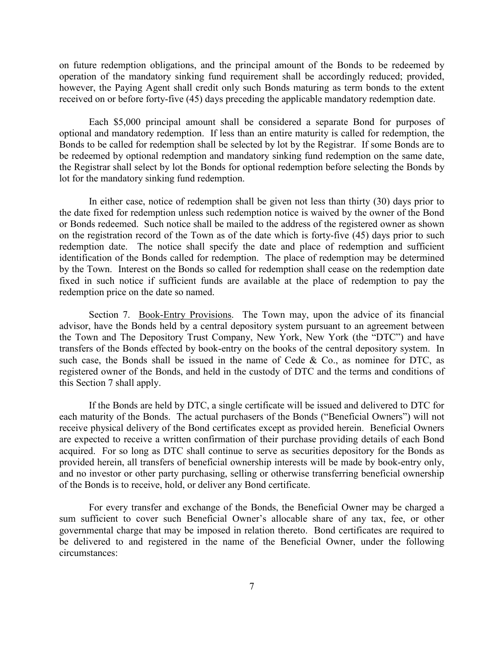on future redemption obligations, and the principal amount of the Bonds to be redeemed by operation of the mandatory sinking fund requirement shall be accordingly reduced; provided, however, the Paying Agent shall credit only such Bonds maturing as term bonds to the extent received on or before forty-five (45) days preceding the applicable mandatory redemption date.

Each \$5,000 principal amount shall be considered a separate Bond for purposes of optional and mandatory redemption. If less than an entire maturity is called for redemption, the Bonds to be called for redemption shall be selected by lot by the Registrar. If some Bonds are to be redeemed by optional redemption and mandatory sinking fund redemption on the same date, the Registrar shall select by lot the Bonds for optional redemption before selecting the Bonds by lot for the mandatory sinking fund redemption.

In either case, notice of redemption shall be given not less than thirty (30) days prior to the date fixed for redemption unless such redemption notice is waived by the owner of the Bond or Bonds redeemed. Such notice shall be mailed to the address of the registered owner as shown on the registration record of the Town as of the date which is forty-five (45) days prior to such redemption date. The notice shall specify the date and place of redemption and sufficient identification of the Bonds called for redemption. The place of redemption may be determined by the Town. Interest on the Bonds so called for redemption shall cease on the redemption date fixed in such notice if sufficient funds are available at the place of redemption to pay the redemption price on the date so named.

Section 7. Book-Entry Provisions. The Town may, upon the advice of its financial advisor, have the Bonds held by a central depository system pursuant to an agreement between the Town and The Depository Trust Company, New York, New York (the "DTC") and have transfers of the Bonds effected by book-entry on the books of the central depository system. In such case, the Bonds shall be issued in the name of Cede & Co., as nominee for DTC, as registered owner of the Bonds, and held in the custody of DTC and the terms and conditions of this Section 7 shall apply.

If the Bonds are held by DTC, a single certificate will be issued and delivered to DTC for each maturity of the Bonds. The actual purchasers of the Bonds ("Beneficial Owners") will not receive physical delivery of the Bond certificates except as provided herein. Beneficial Owners are expected to receive a written confirmation of their purchase providing details of each Bond acquired. For so long as DTC shall continue to serve as securities depository for the Bonds as provided herein, all transfers of beneficial ownership interests will be made by book-entry only, and no investor or other party purchasing, selling or otherwise transferring beneficial ownership of the Bonds is to receive, hold, or deliver any Bond certificate.

For every transfer and exchange of the Bonds, the Beneficial Owner may be charged a sum sufficient to cover such Beneficial Owner's allocable share of any tax, fee, or other governmental charge that may be imposed in relation thereto. Bond certificates are required to be delivered to and registered in the name of the Beneficial Owner, under the following circumstances: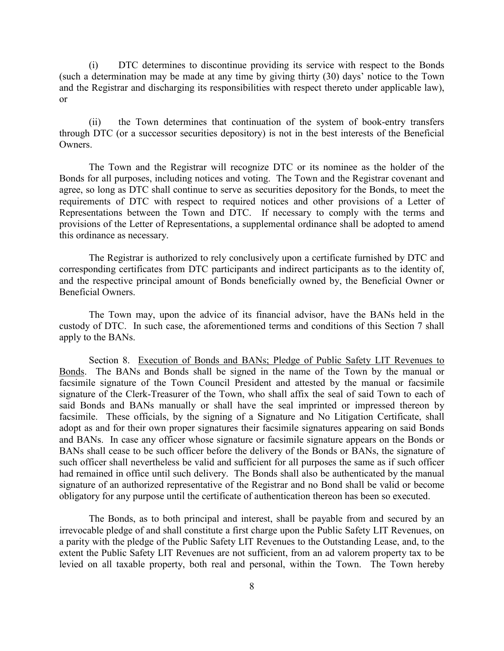(i) DTC determines to discontinue providing its service with respect to the Bonds (such a determination may be made at any time by giving thirty (30) days' notice to the Town and the Registrar and discharging its responsibilities with respect thereto under applicable law), or

(ii) the Town determines that continuation of the system of book-entry transfers through DTC (or a successor securities depository) is not in the best interests of the Beneficial Owners.

The Town and the Registrar will recognize DTC or its nominee as the holder of the Bonds for all purposes, including notices and voting. The Town and the Registrar covenant and agree, so long as DTC shall continue to serve as securities depository for the Bonds, to meet the requirements of DTC with respect to required notices and other provisions of a Letter of Representations between the Town and DTC. If necessary to comply with the terms and provisions of the Letter of Representations, a supplemental ordinance shall be adopted to amend this ordinance as necessary.

The Registrar is authorized to rely conclusively upon a certificate furnished by DTC and corresponding certificates from DTC participants and indirect participants as to the identity of, and the respective principal amount of Bonds beneficially owned by, the Beneficial Owner or Beneficial Owners.

The Town may, upon the advice of its financial advisor, have the BANs held in the custody of DTC. In such case, the aforementioned terms and conditions of this Section 7 shall apply to the BANs.

Section 8. Execution of Bonds and BANs; Pledge of Public Safety LIT Revenues to Bonds. The BANs and Bonds shall be signed in the name of the Town by the manual or facsimile signature of the Town Council President and attested by the manual or facsimile signature of the Clerk-Treasurer of the Town, who shall affix the seal of said Town to each of said Bonds and BANs manually or shall have the seal imprinted or impressed thereon by facsimile. These officials, by the signing of a Signature and No Litigation Certificate, shall adopt as and for their own proper signatures their facsimile signatures appearing on said Bonds and BANs. In case any officer whose signature or facsimile signature appears on the Bonds or BANs shall cease to be such officer before the delivery of the Bonds or BANs, the signature of such officer shall nevertheless be valid and sufficient for all purposes the same as if such officer had remained in office until such delivery. The Bonds shall also be authenticated by the manual signature of an authorized representative of the Registrar and no Bond shall be valid or become obligatory for any purpose until the certificate of authentication thereon has been so executed.

The Bonds, as to both principal and interest, shall be payable from and secured by an irrevocable pledge of and shall constitute a first charge upon the Public Safety LIT Revenues, on a parity with the pledge of the Public Safety LIT Revenues to the Outstanding Lease, and, to the extent the Public Safety LIT Revenues are not sufficient, from an ad valorem property tax to be levied on all taxable property, both real and personal, within the Town. The Town hereby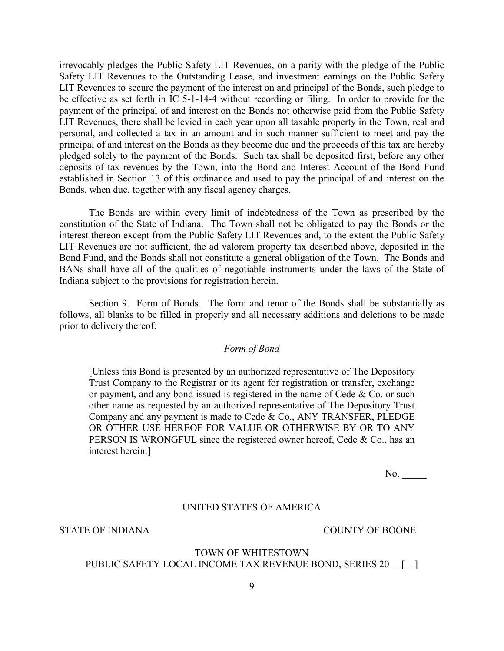irrevocably pledges the Public Safety LIT Revenues, on a parity with the pledge of the Public Safety LIT Revenues to the Outstanding Lease, and investment earnings on the Public Safety LIT Revenues to secure the payment of the interest on and principal of the Bonds, such pledge to be effective as set forth in IC 5-1-14-4 without recording or filing. In order to provide for the payment of the principal of and interest on the Bonds not otherwise paid from the Public Safety LIT Revenues, there shall be levied in each year upon all taxable property in the Town, real and personal, and collected a tax in an amount and in such manner sufficient to meet and pay the principal of and interest on the Bonds as they become due and the proceeds of this tax are hereby pledged solely to the payment of the Bonds. Such tax shall be deposited first, before any other deposits of tax revenues by the Town, into the Bond and Interest Account of the Bond Fund established in Section 13 of this ordinance and used to pay the principal of and interest on the Bonds, when due, together with any fiscal agency charges.

The Bonds are within every limit of indebtedness of the Town as prescribed by the constitution of the State of Indiana. The Town shall not be obligated to pay the Bonds or the interest thereon except from the Public Safety LIT Revenues and, to the extent the Public Safety LIT Revenues are not sufficient, the ad valorem property tax described above, deposited in the Bond Fund, and the Bonds shall not constitute a general obligation of the Town. The Bonds and BANs shall have all of the qualities of negotiable instruments under the laws of the State of Indiana subject to the provisions for registration herein.

Section 9. Form of Bonds. The form and tenor of the Bonds shall be substantially as follows, all blanks to be filled in properly and all necessary additions and deletions to be made prior to delivery thereof:

## *Form of Bond*

[Unless this Bond is presented by an authorized representative of The Depository Trust Company to the Registrar or its agent for registration or transfer, exchange or payment, and any bond issued is registered in the name of Cede  $& Co.$  or such other name as requested by an authorized representative of The Depository Trust Company and any payment is made to Cede & Co., ANY TRANSFER, PLEDGE OR OTHER USE HEREOF FOR VALUE OR OTHERWISE BY OR TO ANY PERSON IS WRONGFUL since the registered owner hereof, Cede & Co., has an interest herein.]

No.

## UNITED STATES OF AMERICA

STATE OF INDIANA STATE OF INDIANA

# TOWN OF WHITESTOWN PUBLIC SAFETY LOCAL INCOME TAX REVENUE BOND, SERIES 20 [ ]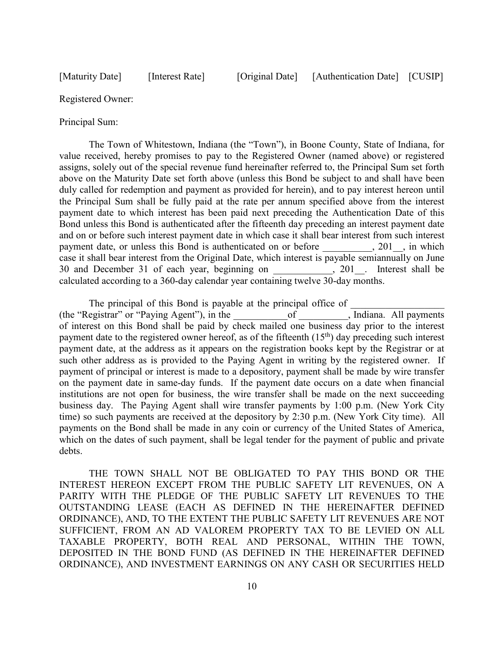Registered Owner:

Principal Sum:

The Town of Whitestown, Indiana (the "Town"), in Boone County, State of Indiana, for value received, hereby promises to pay to the Registered Owner (named above) or registered assigns, solely out of the special revenue fund hereinafter referred to, the Principal Sum set forth above on the Maturity Date set forth above (unless this Bond be subject to and shall have been duly called for redemption and payment as provided for herein), and to pay interest hereon until the Principal Sum shall be fully paid at the rate per annum specified above from the interest payment date to which interest has been paid next preceding the Authentication Date of this Bond unless this Bond is authenticated after the fifteenth day preceding an interest payment date and on or before such interest payment date in which case it shall bear interest from such interest payment date, or unless this Bond is authenticated on or before the subset of  $\cdot$  201  $\cdot$ , in which case it shall bear interest from the Original Date, which interest is payable semiannually on June 30 and December 31 of each year, beginning on 201. Interest shall be 30 and December 31 of each year, beginning on calculated according to a 360-day calendar year containing twelve 30-day months.

The principal of this Bond is payable at the principal office of (the "Registrar" or "Paying Agent"), in the  $\qquad \qquad$  of , Indiana. All payments of interest on this Bond shall be paid by check mailed one business day prior to the interest payment date to the registered owner hereof, as of the fifteenth  $(15<sup>th</sup>)$  day preceding such interest payment date, at the address as it appears on the registration books kept by the Registrar or at such other address as is provided to the Paying Agent in writing by the registered owner. If payment of principal or interest is made to a depository, payment shall be made by wire transfer on the payment date in same-day funds. If the payment date occurs on a date when financial institutions are not open for business, the wire transfer shall be made on the next succeeding business day. The Paying Agent shall wire transfer payments by 1:00 p.m. (New York City time) so such payments are received at the depository by 2:30 p.m. (New York City time). All payments on the Bond shall be made in any coin or currency of the United States of America, which on the dates of such payment, shall be legal tender for the payment of public and private debts.

THE TOWN SHALL NOT BE OBLIGATED TO PAY THIS BOND OR THE INTEREST HEREON EXCEPT FROM THE PUBLIC SAFETY LIT REVENUES, ON A PARITY WITH THE PLEDGE OF THE PUBLIC SAFETY LIT REVENUES TO THE OUTSTANDING LEASE (EACH AS DEFINED IN THE HEREINAFTER DEFINED ORDINANCE), AND, TO THE EXTENT THE PUBLIC SAFETY LIT REVENUES ARE NOT SUFFICIENT, FROM AN AD VALOREM PROPERTY TAX TO BE LEVIED ON ALL TAXABLE PROPERTY, BOTH REAL AND PERSONAL, WITHIN THE TOWN, DEPOSITED IN THE BOND FUND (AS DEFINED IN THE HEREINAFTER DEFINED ORDINANCE), AND INVESTMENT EARNINGS ON ANY CASH OR SECURITIES HELD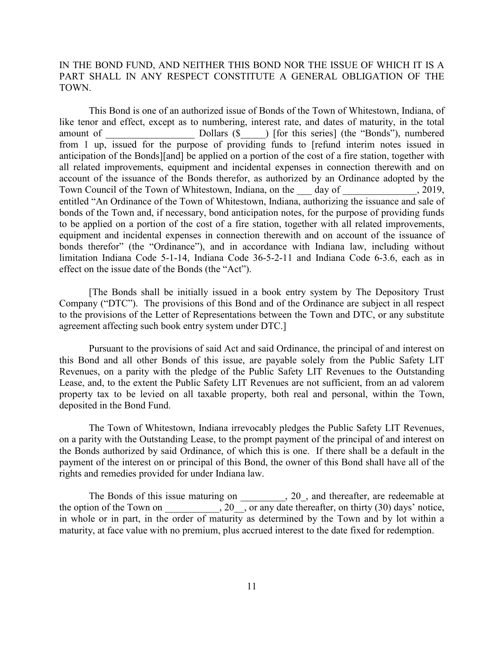IN THE BOND FUND, AND NEITHER THIS BOND NOR THE ISSUE OF WHICH IT IS A PART SHALL IN ANY RESPECT CONSTITUTE A GENERAL OBLIGATION OF THE TOWN.

This Bond is one of an authorized issue of Bonds of the Town of Whitestown, Indiana, of like tenor and effect, except as to numbering, interest rate, and dates of maturity, in the total amount of Dollars (\$  $\Box$ ) [for this series] (the "Bonds"), numbered from 1 up, issued for the purpose of providing funds to [refund interim notes issued in anticipation of the Bonds][and] be applied on a portion of the cost of a fire station, together with all related improvements, equipment and incidental expenses in connection therewith and on account of the issuance of the Bonds therefor, as authorized by an Ordinance adopted by the Town Council of the Town of Whitestown, Indiana, on the day of , 2019, entitled "An Ordinance of the Town of Whitestown, Indiana, authorizing the issuance and sale of bonds of the Town and, if necessary, bond anticipation notes, for the purpose of providing funds to be applied on a portion of the cost of a fire station, together with all related improvements, equipment and incidental expenses in connection therewith and on account of the issuance of bonds therefor" (the "Ordinance"), and in accordance with Indiana law, including without limitation Indiana Code 5-1-14, Indiana Code 36-5-2-11 and Indiana Code 6-3.6, each as in effect on the issue date of the Bonds (the "Act").

[The Bonds shall be initially issued in a book entry system by The Depository Trust Company ("DTC"). The provisions of this Bond and of the Ordinance are subject in all respect to the provisions of the Letter of Representations between the Town and DTC, or any substitute agreement affecting such book entry system under DTC.]

Pursuant to the provisions of said Act and said Ordinance, the principal of and interest on this Bond and all other Bonds of this issue, are payable solely from the Public Safety LIT Revenues, on a parity with the pledge of the Public Safety LIT Revenues to the Outstanding Lease, and, to the extent the Public Safety LIT Revenues are not sufficient, from an ad valorem property tax to be levied on all taxable property, both real and personal, within the Town, deposited in the Bond Fund.

The Town of Whitestown, Indiana irrevocably pledges the Public Safety LIT Revenues, on a parity with the Outstanding Lease, to the prompt payment of the principal of and interest on the Bonds authorized by said Ordinance, of which this is one. If there shall be a default in the payment of the interest on or principal of this Bond, the owner of this Bond shall have all of the rights and remedies provided for under Indiana law.

The Bonds of this issue maturing on \_\_\_\_\_\_\_, 20\_, and thereafter, are redeemable at the option of the Town on  $\frac{1}{20}$ , or any date thereafter, on thirty (30) days' notice, in whole or in part, in the order of maturity as determined by the Town and by lot within a maturity, at face value with no premium, plus accrued interest to the date fixed for redemption.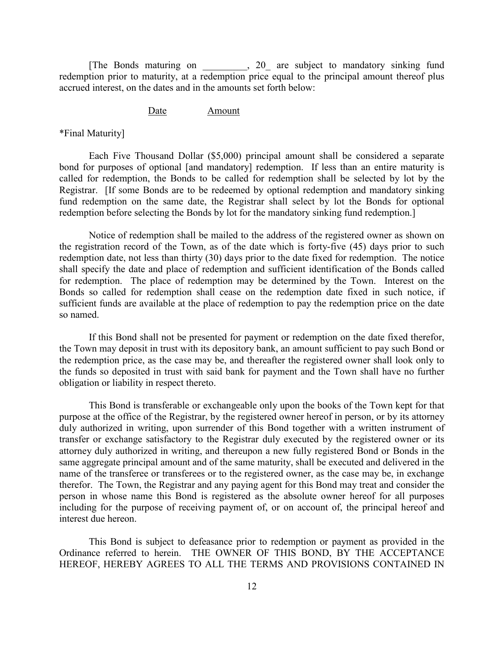[The Bonds maturing on \_\_\_\_\_\_\_\_\_, 20\_ are subject to mandatory sinking fund redemption prior to maturity, at a redemption price equal to the principal amount thereof plus accrued interest, on the dates and in the amounts set forth below:

#### Date **Amount**

\*Final Maturity]

Each Five Thousand Dollar (\$5,000) principal amount shall be considered a separate bond for purposes of optional [and mandatory] redemption. If less than an entire maturity is called for redemption, the Bonds to be called for redemption shall be selected by lot by the Registrar. [If some Bonds are to be redeemed by optional redemption and mandatory sinking fund redemption on the same date, the Registrar shall select by lot the Bonds for optional redemption before selecting the Bonds by lot for the mandatory sinking fund redemption.]

Notice of redemption shall be mailed to the address of the registered owner as shown on the registration record of the Town, as of the date which is forty-five (45) days prior to such redemption date, not less than thirty (30) days prior to the date fixed for redemption. The notice shall specify the date and place of redemption and sufficient identification of the Bonds called for redemption. The place of redemption may be determined by the Town. Interest on the Bonds so called for redemption shall cease on the redemption date fixed in such notice, if sufficient funds are available at the place of redemption to pay the redemption price on the date so named.

If this Bond shall not be presented for payment or redemption on the date fixed therefor, the Town may deposit in trust with its depository bank, an amount sufficient to pay such Bond or the redemption price, as the case may be, and thereafter the registered owner shall look only to the funds so deposited in trust with said bank for payment and the Town shall have no further obligation or liability in respect thereto.

This Bond is transferable or exchangeable only upon the books of the Town kept for that purpose at the office of the Registrar, by the registered owner hereof in person, or by its attorney duly authorized in writing, upon surrender of this Bond together with a written instrument of transfer or exchange satisfactory to the Registrar duly executed by the registered owner or its attorney duly authorized in writing, and thereupon a new fully registered Bond or Bonds in the same aggregate principal amount and of the same maturity, shall be executed and delivered in the name of the transferee or transferees or to the registered owner, as the case may be, in exchange therefor. The Town, the Registrar and any paying agent for this Bond may treat and consider the person in whose name this Bond is registered as the absolute owner hereof for all purposes including for the purpose of receiving payment of, or on account of, the principal hereof and interest due hereon.

This Bond is subject to defeasance prior to redemption or payment as provided in the Ordinance referred to herein. THE OWNER OF THIS BOND, BY THE ACCEPTANCE HEREOF, HEREBY AGREES TO ALL THE TERMS AND PROVISIONS CONTAINED IN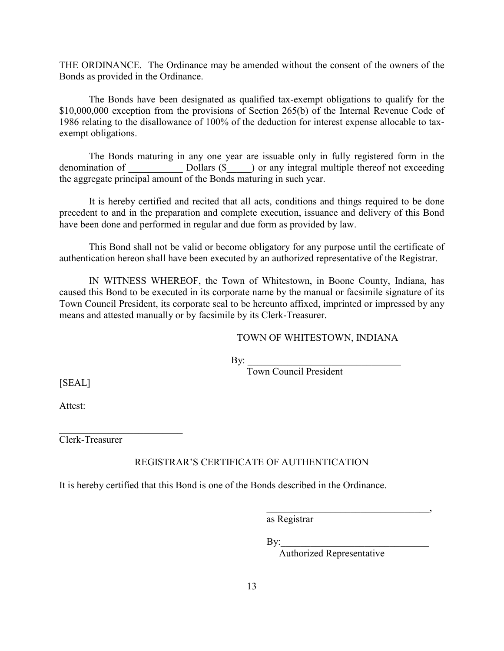THE ORDINANCE. The Ordinance may be amended without the consent of the owners of the Bonds as provided in the Ordinance.

The Bonds have been designated as qualified tax-exempt obligations to qualify for the \$10,000,000 exception from the provisions of Section 265(b) of the Internal Revenue Code of 1986 relating to the disallowance of 100% of the deduction for interest expense allocable to taxexempt obligations.

The Bonds maturing in any one year are issuable only in fully registered form in the denomination of Dollars (\$  $\Box$ ) or any integral multiple thereof not exceeding the aggregate principal amount of the Bonds maturing in such year.

It is hereby certified and recited that all acts, conditions and things required to be done precedent to and in the preparation and complete execution, issuance and delivery of this Bond have been done and performed in regular and due form as provided by law.

This Bond shall not be valid or become obligatory for any purpose until the certificate of authentication hereon shall have been executed by an authorized representative of the Registrar.

IN WITNESS WHEREOF, the Town of Whitestown, in Boone County, Indiana, has caused this Bond to be executed in its corporate name by the manual or facsimile signature of its Town Council President, its corporate seal to be hereunto affixed, imprinted or impressed by any means and attested manually or by facsimile by its Clerk-Treasurer.

## TOWN OF WHITESTOWN, INDIANA

 $\mathbf{By:}$ 

Town Council President

[SEAL]

Attest:

Clerk-Treasurer

\_\_\_\_\_\_\_\_\_\_\_\_\_\_\_\_\_\_\_\_\_\_\_\_\_

# REGISTRAR'S CERTIFICATE OF AUTHENTICATION

It is hereby certified that this Bond is one of the Bonds described in the Ordinance.

as Registrar

 $\rm\,By:$ 

Authorized Representative

\_\_\_\_\_\_\_\_\_\_\_\_\_\_\_\_\_\_\_\_\_\_\_\_\_\_\_\_\_\_\_\_\_,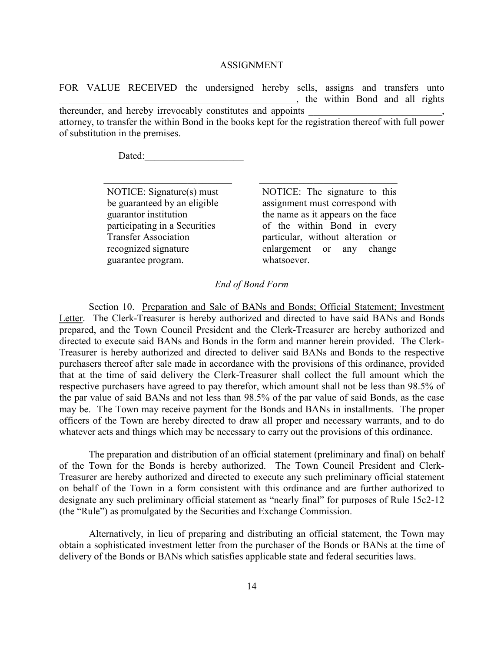#### ASSIGNMENT

FOR VALUE RECEIVED the undersigned hereby sells, assigns and transfers unto \_\_\_\_\_\_\_\_\_\_\_\_\_\_\_\_\_\_\_\_\_\_\_\_\_\_\_\_\_\_\_\_\_\_\_\_\_\_\_\_\_\_\_\_\_\_\_\_, the within Bond and all rights thereunder, and hereby irrevocably constitutes and appoints attorney, to transfer the within Bond in the books kept for the registration thereof with full power of substitution in the premises.

\_\_\_\_\_\_\_\_\_\_\_\_\_\_\_\_\_\_\_\_\_\_\_\_\_\_ \_\_\_\_\_\_\_\_\_\_\_\_\_\_\_\_\_\_\_\_\_\_\_\_\_\_\_\_

Dated:

NOTICE: Signature(s) must be guaranteed by an eligible guarantor institution participating in a Securities Transfer Association recognized signature guarantee program.

NOTICE: The signature to this assignment must correspond with the name as it appears on the face of the within Bond in every particular, without alteration or enlargement or any change whatsoever.

### *End of Bond Form*

Section 10. Preparation and Sale of BANs and Bonds; Official Statement; Investment Letter. The Clerk-Treasurer is hereby authorized and directed to have said BANs and Bonds prepared, and the Town Council President and the Clerk-Treasurer are hereby authorized and directed to execute said BANs and Bonds in the form and manner herein provided. The Clerk-Treasurer is hereby authorized and directed to deliver said BANs and Bonds to the respective purchasers thereof after sale made in accordance with the provisions of this ordinance, provided that at the time of said delivery the Clerk-Treasurer shall collect the full amount which the respective purchasers have agreed to pay therefor, which amount shall not be less than 98.5% of the par value of said BANs and not less than 98.5% of the par value of said Bonds, as the case may be. The Town may receive payment for the Bonds and BANs in installments. The proper officers of the Town are hereby directed to draw all proper and necessary warrants, and to do whatever acts and things which may be necessary to carry out the provisions of this ordinance.

The preparation and distribution of an official statement (preliminary and final) on behalf of the Town for the Bonds is hereby authorized. The Town Council President and Clerk-Treasurer are hereby authorized and directed to execute any such preliminary official statement on behalf of the Town in a form consistent with this ordinance and are further authorized to designate any such preliminary official statement as "nearly final" for purposes of Rule 15c2-12 (the "Rule") as promulgated by the Securities and Exchange Commission.

Alternatively, in lieu of preparing and distributing an official statement, the Town may obtain a sophisticated investment letter from the purchaser of the Bonds or BANs at the time of delivery of the Bonds or BANs which satisfies applicable state and federal securities laws.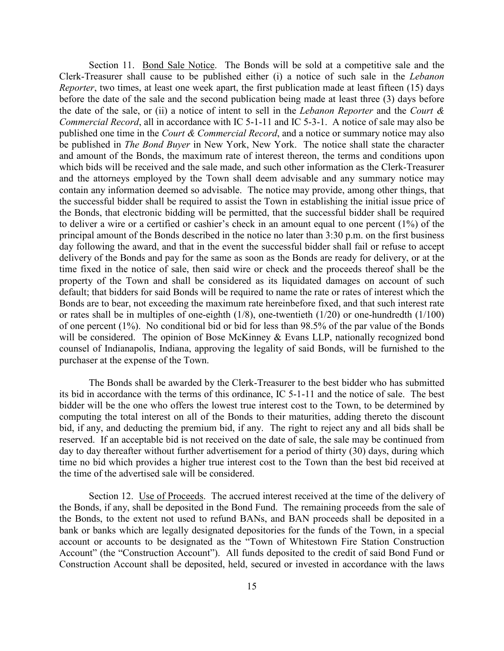Section 11. Bond Sale Notice. The Bonds will be sold at a competitive sale and the Clerk-Treasurer shall cause to be published either (i) a notice of such sale in the *Lebanon Reporter*, two times, at least one week apart, the first publication made at least fifteen (15) days before the date of the sale and the second publication being made at least three (3) days before the date of the sale, or (ii) a notice of intent to sell in the *Lebanon Reporter* and the *Court & Commercial Record*, all in accordance with IC 5-1-11 and IC 5-3-1. A notice of sale may also be published one time in the *Court & Commercial Record*, and a notice or summary notice may also be published in *The Bond Buyer* in New York, New York. The notice shall state the character and amount of the Bonds, the maximum rate of interest thereon, the terms and conditions upon which bids will be received and the sale made, and such other information as the Clerk-Treasurer and the attorneys employed by the Town shall deem advisable and any summary notice may contain any information deemed so advisable. The notice may provide, among other things, that the successful bidder shall be required to assist the Town in establishing the initial issue price of the Bonds, that electronic bidding will be permitted, that the successful bidder shall be required to deliver a wire or a certified or cashier's check in an amount equal to one percent (1%) of the principal amount of the Bonds described in the notice no later than 3:30 p.m. on the first business day following the award, and that in the event the successful bidder shall fail or refuse to accept delivery of the Bonds and pay for the same as soon as the Bonds are ready for delivery, or at the time fixed in the notice of sale, then said wire or check and the proceeds thereof shall be the property of the Town and shall be considered as its liquidated damages on account of such default; that bidders for said Bonds will be required to name the rate or rates of interest which the Bonds are to bear, not exceeding the maximum rate hereinbefore fixed, and that such interest rate or rates shall be in multiples of one-eighth (1/8), one-twentieth (1/20) or one-hundredth (1/100) of one percent (1%). No conditional bid or bid for less than 98.5% of the par value of the Bonds will be considered. The opinion of Bose McKinney & Evans LLP, nationally recognized bond counsel of Indianapolis, Indiana, approving the legality of said Bonds, will be furnished to the purchaser at the expense of the Town.

The Bonds shall be awarded by the Clerk-Treasurer to the best bidder who has submitted its bid in accordance with the terms of this ordinance, IC 5-1-11 and the notice of sale. The best bidder will be the one who offers the lowest true interest cost to the Town, to be determined by computing the total interest on all of the Bonds to their maturities, adding thereto the discount bid, if any, and deducting the premium bid, if any. The right to reject any and all bids shall be reserved. If an acceptable bid is not received on the date of sale, the sale may be continued from day to day thereafter without further advertisement for a period of thirty (30) days, during which time no bid which provides a higher true interest cost to the Town than the best bid received at the time of the advertised sale will be considered.

Section 12. Use of Proceeds. The accrued interest received at the time of the delivery of the Bonds, if any, shall be deposited in the Bond Fund. The remaining proceeds from the sale of the Bonds, to the extent not used to refund BANs, and BAN proceeds shall be deposited in a bank or banks which are legally designated depositories for the funds of the Town, in a special account or accounts to be designated as the "Town of Whitestown Fire Station Construction Account" (the "Construction Account"). All funds deposited to the credit of said Bond Fund or Construction Account shall be deposited, held, secured or invested in accordance with the laws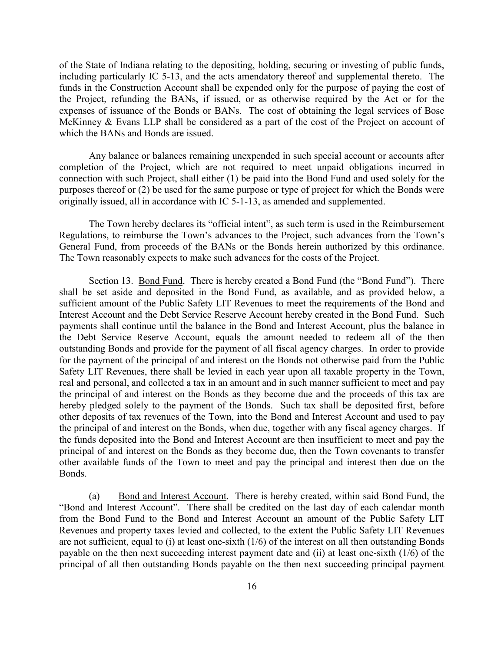of the State of Indiana relating to the depositing, holding, securing or investing of public funds, including particularly IC 5-13, and the acts amendatory thereof and supplemental thereto. The funds in the Construction Account shall be expended only for the purpose of paying the cost of the Project, refunding the BANs, if issued, or as otherwise required by the Act or for the expenses of issuance of the Bonds or BANs. The cost of obtaining the legal services of Bose McKinney & Evans LLP shall be considered as a part of the cost of the Project on account of which the BANs and Bonds are issued.

Any balance or balances remaining unexpended in such special account or accounts after completion of the Project, which are not required to meet unpaid obligations incurred in connection with such Project, shall either (1) be paid into the Bond Fund and used solely for the purposes thereof or (2) be used for the same purpose or type of project for which the Bonds were originally issued, all in accordance with IC 5-1-13, as amended and supplemented.

The Town hereby declares its "official intent", as such term is used in the Reimbursement Regulations, to reimburse the Town's advances to the Project, such advances from the Town's General Fund, from proceeds of the BANs or the Bonds herein authorized by this ordinance. The Town reasonably expects to make such advances for the costs of the Project.

Section 13. Bond Fund. There is hereby created a Bond Fund (the "Bond Fund"). There shall be set aside and deposited in the Bond Fund, as available, and as provided below, a sufficient amount of the Public Safety LIT Revenues to meet the requirements of the Bond and Interest Account and the Debt Service Reserve Account hereby created in the Bond Fund. Such payments shall continue until the balance in the Bond and Interest Account, plus the balance in the Debt Service Reserve Account, equals the amount needed to redeem all of the then outstanding Bonds and provide for the payment of all fiscal agency charges. In order to provide for the payment of the principal of and interest on the Bonds not otherwise paid from the Public Safety LIT Revenues, there shall be levied in each year upon all taxable property in the Town, real and personal, and collected a tax in an amount and in such manner sufficient to meet and pay the principal of and interest on the Bonds as they become due and the proceeds of this tax are hereby pledged solely to the payment of the Bonds. Such tax shall be deposited first, before other deposits of tax revenues of the Town, into the Bond and Interest Account and used to pay the principal of and interest on the Bonds, when due, together with any fiscal agency charges. If the funds deposited into the Bond and Interest Account are then insufficient to meet and pay the principal of and interest on the Bonds as they become due, then the Town covenants to transfer other available funds of the Town to meet and pay the principal and interest then due on the Bonds.

(a) Bond and Interest Account. There is hereby created, within said Bond Fund, the "Bond and Interest Account". There shall be credited on the last day of each calendar month from the Bond Fund to the Bond and Interest Account an amount of the Public Safety LIT Revenues and property taxes levied and collected, to the extent the Public Safety LIT Revenues are not sufficient, equal to (i) at least one-sixth (1/6) of the interest on all then outstanding Bonds payable on the then next succeeding interest payment date and (ii) at least one-sixth (1/6) of the principal of all then outstanding Bonds payable on the then next succeeding principal payment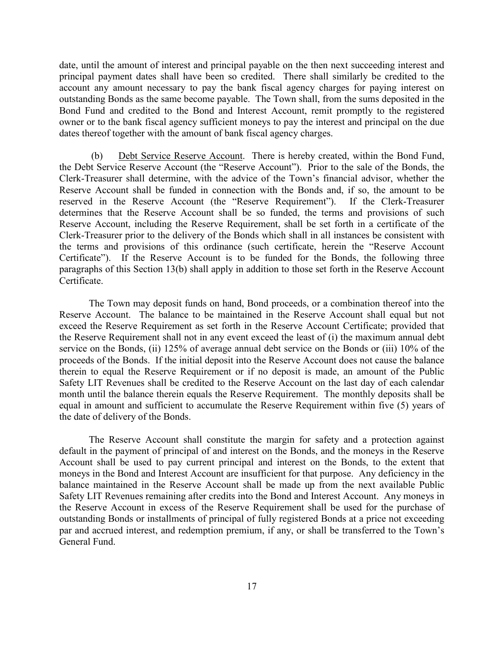date, until the amount of interest and principal payable on the then next succeeding interest and principal payment dates shall have been so credited. There shall similarly be credited to the account any amount necessary to pay the bank fiscal agency charges for paying interest on outstanding Bonds as the same become payable. The Town shall, from the sums deposited in the Bond Fund and credited to the Bond and Interest Account, remit promptly to the registered owner or to the bank fiscal agency sufficient moneys to pay the interest and principal on the due dates thereof together with the amount of bank fiscal agency charges.

(b) Debt Service Reserve Account. There is hereby created, within the Bond Fund, the Debt Service Reserve Account (the "Reserve Account"). Prior to the sale of the Bonds, the Clerk-Treasurer shall determine, with the advice of the Town's financial advisor, whether the Reserve Account shall be funded in connection with the Bonds and, if so, the amount to be reserved in the Reserve Account (the "Reserve Requirement"). If the Clerk-Treasurer determines that the Reserve Account shall be so funded, the terms and provisions of such Reserve Account, including the Reserve Requirement, shall be set forth in a certificate of the Clerk-Treasurer prior to the delivery of the Bonds which shall in all instances be consistent with the terms and provisions of this ordinance (such certificate, herein the "Reserve Account Certificate"). If the Reserve Account is to be funded for the Bonds, the following three paragraphs of this Section 13(b) shall apply in addition to those set forth in the Reserve Account Certificate.

The Town may deposit funds on hand, Bond proceeds, or a combination thereof into the Reserve Account. The balance to be maintained in the Reserve Account shall equal but not exceed the Reserve Requirement as set forth in the Reserve Account Certificate; provided that the Reserve Requirement shall not in any event exceed the least of (i) the maximum annual debt service on the Bonds, (ii) 125% of average annual debt service on the Bonds or (iii) 10% of the proceeds of the Bonds. If the initial deposit into the Reserve Account does not cause the balance therein to equal the Reserve Requirement or if no deposit is made, an amount of the Public Safety LIT Revenues shall be credited to the Reserve Account on the last day of each calendar month until the balance therein equals the Reserve Requirement. The monthly deposits shall be equal in amount and sufficient to accumulate the Reserve Requirement within five (5) years of the date of delivery of the Bonds.

The Reserve Account shall constitute the margin for safety and a protection against default in the payment of principal of and interest on the Bonds, and the moneys in the Reserve Account shall be used to pay current principal and interest on the Bonds, to the extent that moneys in the Bond and Interest Account are insufficient for that purpose. Any deficiency in the balance maintained in the Reserve Account shall be made up from the next available Public Safety LIT Revenues remaining after credits into the Bond and Interest Account. Any moneys in the Reserve Account in excess of the Reserve Requirement shall be used for the purchase of outstanding Bonds or installments of principal of fully registered Bonds at a price not exceeding par and accrued interest, and redemption premium, if any, or shall be transferred to the Town's General Fund.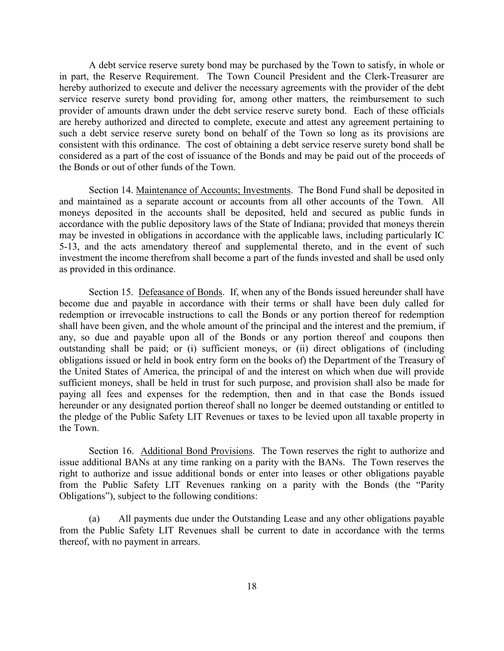A debt service reserve surety bond may be purchased by the Town to satisfy, in whole or in part, the Reserve Requirement. The Town Council President and the Clerk-Treasurer are hereby authorized to execute and deliver the necessary agreements with the provider of the debt service reserve surety bond providing for, among other matters, the reimbursement to such provider of amounts drawn under the debt service reserve surety bond. Each of these officials are hereby authorized and directed to complete, execute and attest any agreement pertaining to such a debt service reserve surety bond on behalf of the Town so long as its provisions are consistent with this ordinance. The cost of obtaining a debt service reserve surety bond shall be considered as a part of the cost of issuance of the Bonds and may be paid out of the proceeds of the Bonds or out of other funds of the Town.

Section 14. Maintenance of Accounts; Investments. The Bond Fund shall be deposited in and maintained as a separate account or accounts from all other accounts of the Town. All moneys deposited in the accounts shall be deposited, held and secured as public funds in accordance with the public depository laws of the State of Indiana; provided that moneys therein may be invested in obligations in accordance with the applicable laws, including particularly IC 5-13, and the acts amendatory thereof and supplemental thereto, and in the event of such investment the income therefrom shall become a part of the funds invested and shall be used only as provided in this ordinance.

Section 15. Defeasance of Bonds. If, when any of the Bonds issued hereunder shall have become due and payable in accordance with their terms or shall have been duly called for redemption or irrevocable instructions to call the Bonds or any portion thereof for redemption shall have been given, and the whole amount of the principal and the interest and the premium, if any, so due and payable upon all of the Bonds or any portion thereof and coupons then outstanding shall be paid; or (i) sufficient moneys, or (ii) direct obligations of (including obligations issued or held in book entry form on the books of) the Department of the Treasury of the United States of America, the principal of and the interest on which when due will provide sufficient moneys, shall be held in trust for such purpose, and provision shall also be made for paying all fees and expenses for the redemption, then and in that case the Bonds issued hereunder or any designated portion thereof shall no longer be deemed outstanding or entitled to the pledge of the Public Safety LIT Revenues or taxes to be levied upon all taxable property in the Town.

Section 16. Additional Bond Provisions. The Town reserves the right to authorize and issue additional BANs at any time ranking on a parity with the BANs. The Town reserves the right to authorize and issue additional bonds or enter into leases or other obligations payable from the Public Safety LIT Revenues ranking on a parity with the Bonds (the "Parity Obligations"), subject to the following conditions:

(a) All payments due under the Outstanding Lease and any other obligations payable from the Public Safety LIT Revenues shall be current to date in accordance with the terms thereof, with no payment in arrears.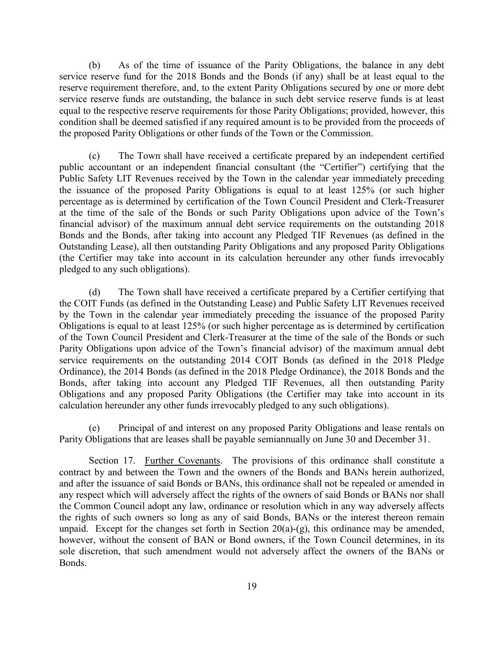(b) As of the time of issuance of the Parity Obligations, the balance in any debt service reserve fund for the 2018 Bonds and the Bonds (if any) shall be at least equal to the reserve requirement therefore, and, to the extent Parity Obligations secured by one or more debt service reserve funds are outstanding, the balance in such debt service reserve funds is at least equal to the respective reserve requirements for those Parity Obligations; provided, however, this condition shall be deemed satisfied if any required amount is to be provided from the proceeds of the proposed Parity Obligations or other funds of the Town or the Commission.

(c) The Town shall have received a certificate prepared by an independent certified public accountant or an independent financial consultant (the "Certifier") certifying that the Public Safety LIT Revenues received by the Town in the calendar year immediately preceding the issuance of the proposed Parity Obligations is equal to at least 125% (or such higher percentage as is determined by certification of the Town Council President and Clerk-Treasurer at the time of the sale of the Bonds or such Parity Obligations upon advice of the Town's financial advisor) of the maximum annual debt service requirements on the outstanding 2018 Bonds and the Bonds, after taking into account any Pledged TIF Revenues (as defined in the Outstanding Lease), all then outstanding Parity Obligations and any proposed Parity Obligations (the Certifier may take into account in its calculation hereunder any other funds irrevocably pledged to any such obligations).

(d) The Town shall have received a certificate prepared by a Certifier certifying that the COIT Funds (as defined in the Outstanding Lease) and Public Safety LIT Revenues received by the Town in the calendar year immediately preceding the issuance of the proposed Parity Obligations is equal to at least 125% (or such higher percentage as is determined by certification of the Town Council President and Clerk-Treasurer at the time of the sale of the Bonds or such Parity Obligations upon advice of the Town's financial advisor) of the maximum annual debt service requirements on the outstanding 2014 COIT Bonds (as defined in the 2018 Pledge Ordinance), the 2014 Bonds (as defined in the 2018 Pledge Ordinance), the 2018 Bonds and the Bonds, after taking into account any Pledged TIF Revenues, all then outstanding Parity Obligations and any proposed Parity Obligations (the Certifier may take into account in its calculation hereunder any other funds irrevocably pledged to any such obligations).

(e) Principal of and interest on any proposed Parity Obligations and lease rentals on Parity Obligations that are leases shall be payable semiannually on June 30 and December 31.

Section 17. Further Covenants. The provisions of this ordinance shall constitute a contract by and between the Town and the owners of the Bonds and BANs herein authorized, and after the issuance of said Bonds or BANs, this ordinance shall not be repealed or amended in any respect which will adversely affect the rights of the owners of said Bonds or BANs nor shall the Common Council adopt any law, ordinance or resolution which in any way adversely affects the rights of such owners so long as any of said Bonds, BANs or the interest thereon remain unpaid. Except for the changes set forth in Section  $20(a)-(g)$ , this ordinance may be amended, however, without the consent of BAN or Bond owners, if the Town Council determines, in its sole discretion, that such amendment would not adversely affect the owners of the BANs or Bonds.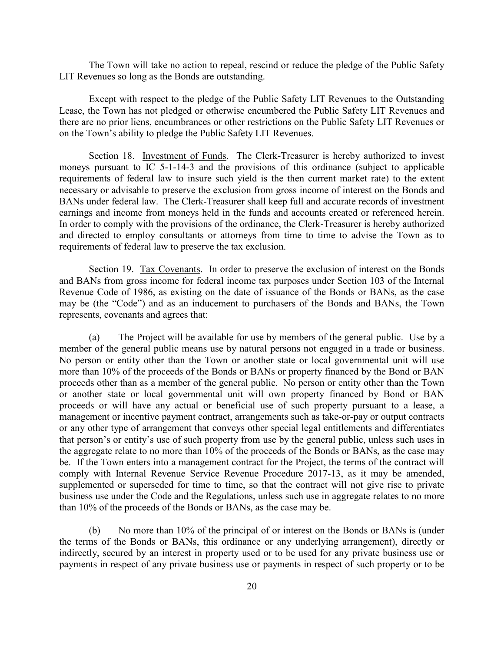The Town will take no action to repeal, rescind or reduce the pledge of the Public Safety LIT Revenues so long as the Bonds are outstanding.

Except with respect to the pledge of the Public Safety LIT Revenues to the Outstanding Lease, the Town has not pledged or otherwise encumbered the Public Safety LIT Revenues and there are no prior liens, encumbrances or other restrictions on the Public Safety LIT Revenues or on the Town's ability to pledge the Public Safety LIT Revenues.

Section 18. Investment of Funds. The Clerk-Treasurer is hereby authorized to invest moneys pursuant to IC 5-1-14-3 and the provisions of this ordinance (subject to applicable requirements of federal law to insure such yield is the then current market rate) to the extent necessary or advisable to preserve the exclusion from gross income of interest on the Bonds and BANs under federal law. The Clerk-Treasurer shall keep full and accurate records of investment earnings and income from moneys held in the funds and accounts created or referenced herein. In order to comply with the provisions of the ordinance, the Clerk-Treasurer is hereby authorized and directed to employ consultants or attorneys from time to time to advise the Town as to requirements of federal law to preserve the tax exclusion.

Section 19. <u>Tax Covenants</u>. In order to preserve the exclusion of interest on the Bonds and BANs from gross income for federal income tax purposes under Section 103 of the Internal Revenue Code of 1986, as existing on the date of issuance of the Bonds or BANs, as the case may be (the "Code") and as an inducement to purchasers of the Bonds and BANs, the Town represents, covenants and agrees that:

(a) The Project will be available for use by members of the general public. Use by a member of the general public means use by natural persons not engaged in a trade or business. No person or entity other than the Town or another state or local governmental unit will use more than 10% of the proceeds of the Bonds or BANs or property financed by the Bond or BAN proceeds other than as a member of the general public. No person or entity other than the Town or another state or local governmental unit will own property financed by Bond or BAN proceeds or will have any actual or beneficial use of such property pursuant to a lease, a management or incentive payment contract, arrangements such as take-or-pay or output contracts or any other type of arrangement that conveys other special legal entitlements and differentiates that person's or entity's use of such property from use by the general public, unless such uses in the aggregate relate to no more than 10% of the proceeds of the Bonds or BANs, as the case may be. If the Town enters into a management contract for the Project, the terms of the contract will comply with Internal Revenue Service Revenue Procedure 2017-13, as it may be amended, supplemented or superseded for time to time, so that the contract will not give rise to private business use under the Code and the Regulations, unless such use in aggregate relates to no more than 10% of the proceeds of the Bonds or BANs, as the case may be.

(b) No more than 10% of the principal of or interest on the Bonds or BANs is (under the terms of the Bonds or BANs, this ordinance or any underlying arrangement), directly or indirectly, secured by an interest in property used or to be used for any private business use or payments in respect of any private business use or payments in respect of such property or to be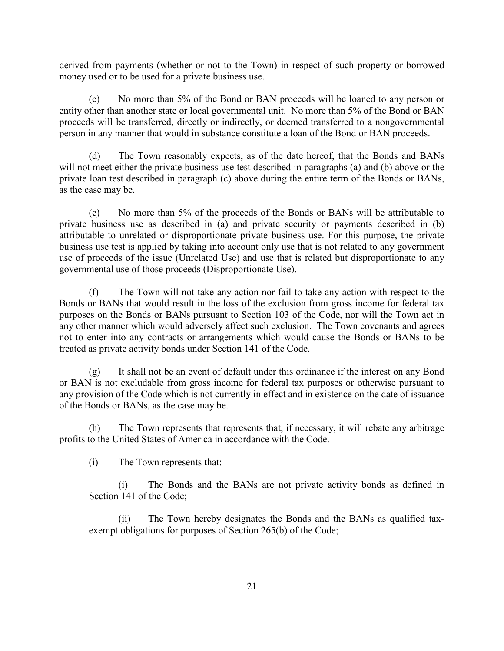derived from payments (whether or not to the Town) in respect of such property or borrowed money used or to be used for a private business use.

(c) No more than 5% of the Bond or BAN proceeds will be loaned to any person or entity other than another state or local governmental unit. No more than 5% of the Bond or BAN proceeds will be transferred, directly or indirectly, or deemed transferred to a nongovernmental person in any manner that would in substance constitute a loan of the Bond or BAN proceeds.

(d) The Town reasonably expects, as of the date hereof, that the Bonds and BANs will not meet either the private business use test described in paragraphs (a) and (b) above or the private loan test described in paragraph (c) above during the entire term of the Bonds or BANs, as the case may be.

(e) No more than 5% of the proceeds of the Bonds or BANs will be attributable to private business use as described in (a) and private security or payments described in (b) attributable to unrelated or disproportionate private business use. For this purpose, the private business use test is applied by taking into account only use that is not related to any government use of proceeds of the issue (Unrelated Use) and use that is related but disproportionate to any governmental use of those proceeds (Disproportionate Use).

(f) The Town will not take any action nor fail to take any action with respect to the Bonds or BANs that would result in the loss of the exclusion from gross income for federal tax purposes on the Bonds or BANs pursuant to Section 103 of the Code, nor will the Town act in any other manner which would adversely affect such exclusion. The Town covenants and agrees not to enter into any contracts or arrangements which would cause the Bonds or BANs to be treated as private activity bonds under Section 141 of the Code.

(g) It shall not be an event of default under this ordinance if the interest on any Bond or BAN is not excludable from gross income for federal tax purposes or otherwise pursuant to any provision of the Code which is not currently in effect and in existence on the date of issuance of the Bonds or BANs, as the case may be.

(h) The Town represents that represents that, if necessary, it will rebate any arbitrage profits to the United States of America in accordance with the Code.

(i) The Town represents that:

(i) The Bonds and the BANs are not private activity bonds as defined in Section 141 of the Code;

(ii) The Town hereby designates the Bonds and the BANs as qualified taxexempt obligations for purposes of Section 265(b) of the Code;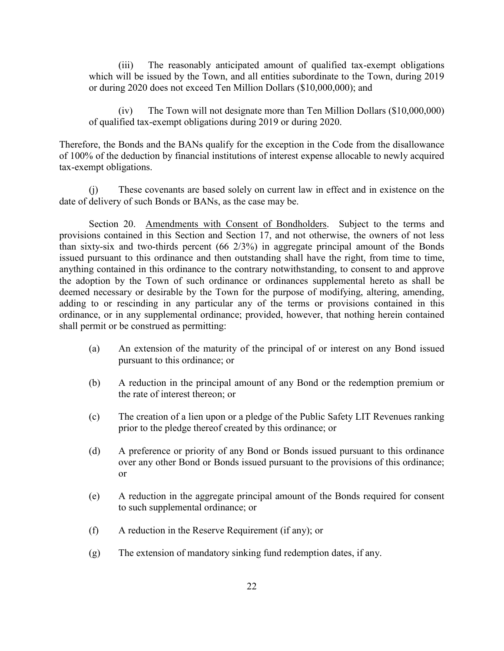(iii) The reasonably anticipated amount of qualified tax-exempt obligations which will be issued by the Town, and all entities subordinate to the Town, during 2019 or during 2020 does not exceed Ten Million Dollars (\$10,000,000); and

(iv) The Town will not designate more than Ten Million Dollars (\$10,000,000) of qualified tax-exempt obligations during 2019 or during 2020.

Therefore, the Bonds and the BANs qualify for the exception in the Code from the disallowance of 100% of the deduction by financial institutions of interest expense allocable to newly acquired tax-exempt obligations.

(j) These covenants are based solely on current law in effect and in existence on the date of delivery of such Bonds or BANs, as the case may be.

Section 20. Amendments with Consent of Bondholders. Subject to the terms and provisions contained in this Section and Section 17, and not otherwise, the owners of not less than sixty-six and two-thirds percent (66 2/3%) in aggregate principal amount of the Bonds issued pursuant to this ordinance and then outstanding shall have the right, from time to time, anything contained in this ordinance to the contrary notwithstanding, to consent to and approve the adoption by the Town of such ordinance or ordinances supplemental hereto as shall be deemed necessary or desirable by the Town for the purpose of modifying, altering, amending, adding to or rescinding in any particular any of the terms or provisions contained in this ordinance, or in any supplemental ordinance; provided, however, that nothing herein contained shall permit or be construed as permitting:

- (a) An extension of the maturity of the principal of or interest on any Bond issued pursuant to this ordinance; or
- (b) A reduction in the principal amount of any Bond or the redemption premium or the rate of interest thereon; or
- (c) The creation of a lien upon or a pledge of the Public Safety LIT Revenues ranking prior to the pledge thereof created by this ordinance; or
- (d) A preference or priority of any Bond or Bonds issued pursuant to this ordinance over any other Bond or Bonds issued pursuant to the provisions of this ordinance; or
- (e) A reduction in the aggregate principal amount of the Bonds required for consent to such supplemental ordinance; or
- (f) A reduction in the Reserve Requirement (if any); or
- (g) The extension of mandatory sinking fund redemption dates, if any.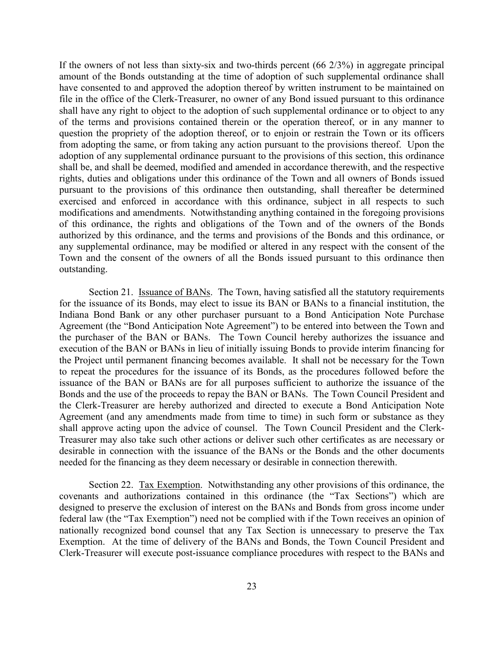If the owners of not less than sixty-six and two-thirds percent (66 2/3%) in aggregate principal amount of the Bonds outstanding at the time of adoption of such supplemental ordinance shall have consented to and approved the adoption thereof by written instrument to be maintained on file in the office of the Clerk-Treasurer, no owner of any Bond issued pursuant to this ordinance shall have any right to object to the adoption of such supplemental ordinance or to object to any of the terms and provisions contained therein or the operation thereof, or in any manner to question the propriety of the adoption thereof, or to enjoin or restrain the Town or its officers from adopting the same, or from taking any action pursuant to the provisions thereof. Upon the adoption of any supplemental ordinance pursuant to the provisions of this section, this ordinance shall be, and shall be deemed, modified and amended in accordance therewith, and the respective rights, duties and obligations under this ordinance of the Town and all owners of Bonds issued pursuant to the provisions of this ordinance then outstanding, shall thereafter be determined exercised and enforced in accordance with this ordinance, subject in all respects to such modifications and amendments. Notwithstanding anything contained in the foregoing provisions of this ordinance, the rights and obligations of the Town and of the owners of the Bonds authorized by this ordinance, and the terms and provisions of the Bonds and this ordinance, or any supplemental ordinance, may be modified or altered in any respect with the consent of the Town and the consent of the owners of all the Bonds issued pursuant to this ordinance then outstanding.

Section 21. Issuance of BANs. The Town, having satisfied all the statutory requirements for the issuance of its Bonds, may elect to issue its BAN or BANs to a financial institution, the Indiana Bond Bank or any other purchaser pursuant to a Bond Anticipation Note Purchase Agreement (the "Bond Anticipation Note Agreement") to be entered into between the Town and the purchaser of the BAN or BANs. The Town Council hereby authorizes the issuance and execution of the BAN or BANs in lieu of initially issuing Bonds to provide interim financing for the Project until permanent financing becomes available. It shall not be necessary for the Town to repeat the procedures for the issuance of its Bonds, as the procedures followed before the issuance of the BAN or BANs are for all purposes sufficient to authorize the issuance of the Bonds and the use of the proceeds to repay the BAN or BANs. The Town Council President and the Clerk-Treasurer are hereby authorized and directed to execute a Bond Anticipation Note Agreement (and any amendments made from time to time) in such form or substance as they shall approve acting upon the advice of counsel. The Town Council President and the Clerk-Treasurer may also take such other actions or deliver such other certificates as are necessary or desirable in connection with the issuance of the BANs or the Bonds and the other documents needed for the financing as they deem necessary or desirable in connection therewith.

Section 22. Tax Exemption. Notwithstanding any other provisions of this ordinance, the covenants and authorizations contained in this ordinance (the "Tax Sections") which are designed to preserve the exclusion of interest on the BANs and Bonds from gross income under federal law (the "Tax Exemption") need not be complied with if the Town receives an opinion of nationally recognized bond counsel that any Tax Section is unnecessary to preserve the Tax Exemption. At the time of delivery of the BANs and Bonds, the Town Council President and Clerk-Treasurer will execute post-issuance compliance procedures with respect to the BANs and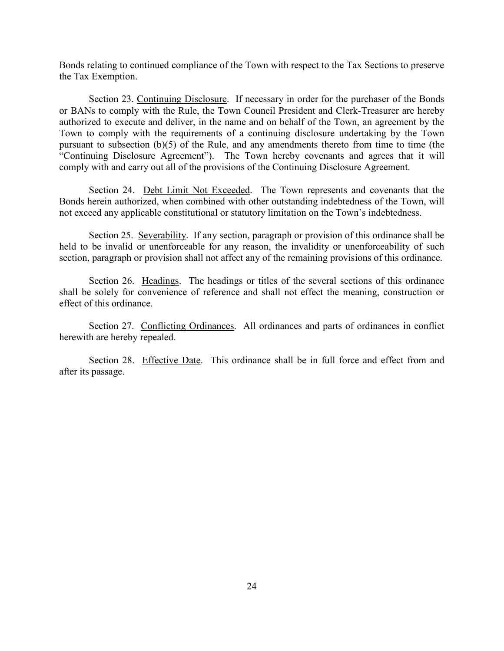Bonds relating to continued compliance of the Town with respect to the Tax Sections to preserve the Tax Exemption.

Section 23. Continuing Disclosure. If necessary in order for the purchaser of the Bonds or BANs to comply with the Rule, the Town Council President and Clerk-Treasurer are hereby authorized to execute and deliver, in the name and on behalf of the Town, an agreement by the Town to comply with the requirements of a continuing disclosure undertaking by the Town pursuant to subsection (b)(5) of the Rule, and any amendments thereto from time to time (the "Continuing Disclosure Agreement"). The Town hereby covenants and agrees that it will comply with and carry out all of the provisions of the Continuing Disclosure Agreement.

Section 24. Debt Limit Not Exceeded. The Town represents and covenants that the Bonds herein authorized, when combined with other outstanding indebtedness of the Town, will not exceed any applicable constitutional or statutory limitation on the Town's indebtedness.

Section 25. Severability. If any section, paragraph or provision of this ordinance shall be held to be invalid or unenforceable for any reason, the invalidity or unenforceability of such section, paragraph or provision shall not affect any of the remaining provisions of this ordinance.

Section 26. Headings. The headings or titles of the several sections of this ordinance shall be solely for convenience of reference and shall not effect the meaning, construction or effect of this ordinance.

Section 27. Conflicting Ordinances. All ordinances and parts of ordinances in conflict herewith are hereby repealed.

Section 28. Effective Date. This ordinance shall be in full force and effect from and after its passage.